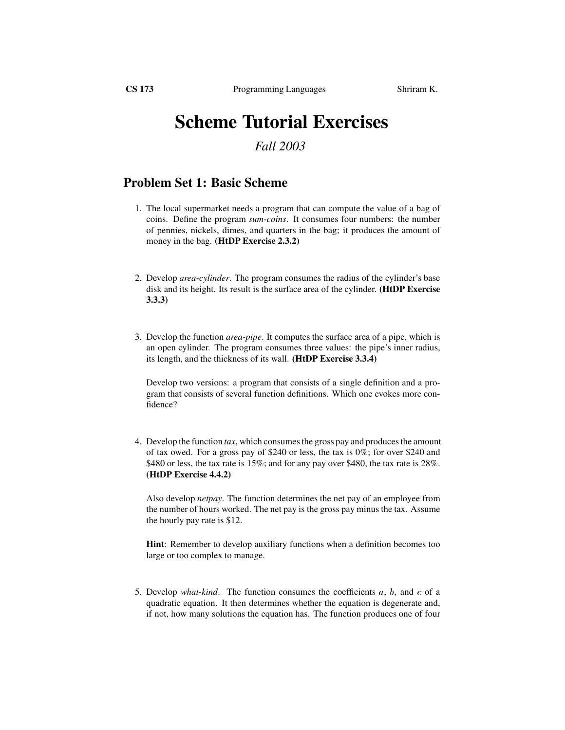## **Scheme Tutorial Exercises**

## *Fall 2003*

## **Problem Set 1: Basic Scheme**

- 1. The local supermarket needs a program that can compute the value of a bag of coins. Define the program *sum-coins*. It consumes four numbers: the number of pennies, nickels, dimes, and quarters in the bag; it produces the amount of money in the bag. **(HtDP Exercise 2.3.2)**
- 2. Develop *area-cylinder*. The program consumes the radius of the cylinder's base disk and its height. Its result is the surface area of the cylinder. **(HtDP Exercise 3.3.3)**
- 3. Develop the function *area-pipe*. It computes the surface area of a pipe, which is an open cylinder. The program consumes three values: the pipe's inner radius, its length, and the thickness of its wall. **(HtDP Exercise 3.3.4)**

Develop two versions: a program that consists of a single definition and a program that consists of several function definitions. Which one evokes more confidence?

4. Develop the function *tax*, which consumes the gross pay and produces the amount of tax owed. For a gross pay of \$240 or less, the tax is 0%; for over \$240 and \$480 or less, the tax rate is 15%; and for any pay over \$480, the tax rate is 28%. **(HtDP Exercise 4.4.2)**

Also develop *netpay*. The function determines the net pay of an employee from the number of hours worked. The net pay is the gross pay minus the tax. Assume the hourly pay rate is \$12.

**Hint**: Remember to develop auxiliary functions when a definition becomes too large or too complex to manage.

5. Develop *what-kind*. The function consumes the coefficients  $a$ ,  $b$ , and  $c$  of a quadratic equation. It then determines whether the equation is degenerate and, if not, how many solutions the equation has. The function produces one of four